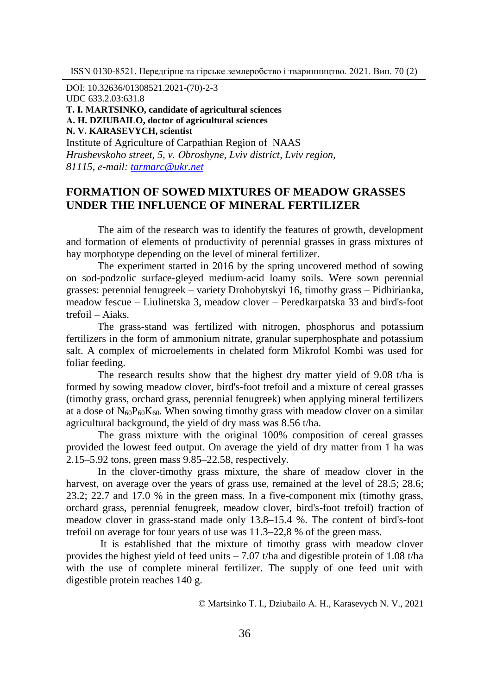DОІ: 10.32636/01308521.2021-(70)-2-3

UDC 633.2.03:631.8

**Т. І. МАRTSINKО, candidate of agricultural sciences**

**А. H. DZIUBAILO, doctor of agricultural sciences**

**N. V. KARASEVYCH, scientist**

Institute of Agriculture of Carpathian Region of NAAS *Hrushevskoho street, 5, v. Оbroshyne, Lviv district, Lviv region, 81115, е-mail: [tarmarc@ukr.net](mailto:tarmarc@ukr.net)*

# **FORMATION OF SOWED MIXTURES OF MEADOW GRASSES UNDER THE INFLUENCE OF MINERAL FERTILIZER**

The aim of the research was to identify the features of growth, development and formation of elements of productivity of perennial grasses in grass mixtures of hay morphotype depending on the level of mineral fertilizer.

The experiment started in 2016 by the spring uncovered method of sowing on sod-podzolic surface-gleyed medium-acid loamy soils. Were sown perennial grasses: perennial fenugreek – variety Drohobytskyi 16, timothy grass – Pidhirianka, meadow fescue – Liulinetska 3, meadow clover – Peredkarpatska 33 and bird's-foot trefoil – Aiaks.

The grass-stand was fertilized with nitrogen, phosphorus and potassium fertilizers in the form of ammonium nitrate, granular superphosphate and potassium salt. A complex of microelements in chelated form Mikrofol Kombi was used for foliar feeding.

The research results show that the highest dry matter yield of 9.08 t/ha is formed by sowing meadow clover, bird's-foot trefoil and a mixture of cereal grasses (timothy grass, orchard grass, perennial fenugreek) when applying mineral fertilizers at a dose of  $N_{60}P_{60}K_{60}$ . When sowing timothy grass with meadow clover on a similar agricultural background, the yield of dry mass was 8.56 t/ha.

The grass mixture with the original 100% composition of cereal grasses provided the lowest feed output. On average the yield of dry matter from 1 ha was 2.15–5.92 tons, green mass 9.85–22.58, respectively.

In the clover-timothy grass mixture, the share of meadow clover in the harvest, on average over the years of grass use, remained at the level of 28.5; 28.6; 23.2; 22.7 and 17.0 % in the green mass. In a five-component mix (timothy grass, orchard grass, perennial fenugreek, meadow clover, bird's-foot trefoil) fraction of meadow clover in grass-stand made only 13.8–15.4 %. The content of bird's-foot trefoil on average for four years of use was 11.3–22,8 % of the green mass.

It is established that the mixture of timothy grass with meadow clover provides the highest yield of feed units – 7.07 t/ha and digestible protein of 1.08 t/ha with the use of complete mineral fertilizer. The supply of one feed unit with digestible protein reaches 140 g.

© Маrtsinkо Т. І., Dziubailo А. H., Karasevych N. V., 2021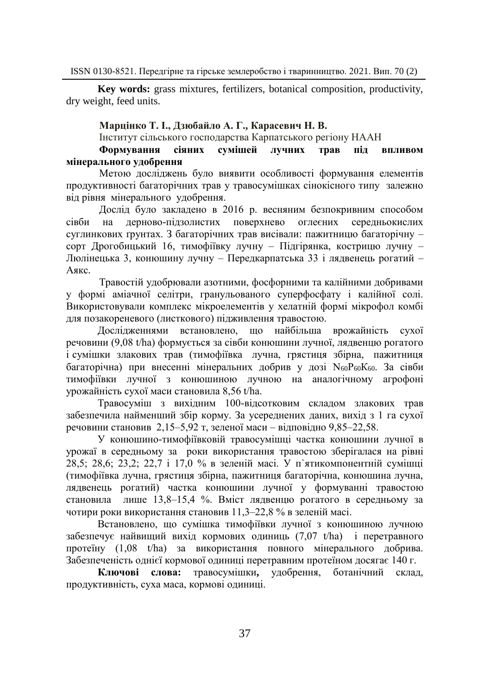**Key words:** grass mixtures, fertilizers, botanical composition, productivity, dry weight, feed units.

### **Марцінко Т. І., Дзюбайло А. Г., Карасевич Н. В.**

Інститут сільського господарства Карпатського регіону НААН

## **Формування сіяних сумішей лучних трав під впливом мінерального удобрення**

Метою досліджень було виявити особливості формування елементів продуктивності багаторічних трав у травосумішках сінокісного типу залежно від рівня мінерального удобрення.

Дослід було закладено в 2016 р. весняним безпокривним способом сівби на дерново-підзолистих поверхнево оглеєних середньокислих суглинкових ґрунтах. З багаторічних трав висівали: пажитницю багаторічну – сорт Дрогобицький 16, тимофіївку лучну – Підгірянка, кострицю лучну – Люлінецька 3, конюшину лучну – Передкарпатська 33 і лядвенець рогатий – Аякс.

Травостій удобрювали азотними, фосфорними та калійними добривами у формі аміачної селітри, гранульованого суперфосфату і калійної солі. Використовували комплекс мікроелементів у хелатній формі мікрофол комбі для позакореневого (листкового) підживлення травостою.

Дослідженнями встановлено, що найбільша врожайність сухої речовини (9,08 t/ha) формується за сівби конюшини лучної, лядвенцю рогатого і сумішки злакових трав (тимофіївка лучна, грястиця збірна, пажитниця багаторічна) при внесенні мінеральних добрив у дозі N<sub>60</sub>P<sub>60</sub>K<sub>60</sub>. За сівби тимофіївки лучної з конюшиною лучною на аналогічному агрофоні урожайність сухої маси становила 8,56 t/ha.

Травосуміш з вихідним 100-відсотковим складом злакових трав забезпечила найменший збір корму. За усереднених даних, вихід з 1 га сухої речовини становив 2,15–5,92 т, зеленої маси – відповідно 9,85–22,58.

У конюшино-тимофіївковій травосумішці частка конюшини лучної в урожаї в середньому за роки використання травостою зберігалася на рівні 28,5; 28,6; 23,2; 22,7 і 17,0 % в зеленій масі. У п`ятикомпонентній сумішці (тимофіївка лучна, грястиця збірна, пажитниця багаторічна, конюшина лучна, лядвенець рогатий) частка конюшини лучної у формуванні травостою становила лише 13,8‒15,4 %. Вміст лядвенцю рогатого в середньому за чотири роки використання становив 11,3‒22,8 % в зеленій масі.

Встановлено, що сумішка тимофіївки лучної з конюшиною лучною забезпечує найвищий вихід кормових одиниць (7,07 t/ha) і перетравного протеїну (1,08 t/ha) за використання повного мінерального добрива. Забезпеченість однієї кормової одиниці перетравним протеїном досягає 140 г.

**Ключові слова:** травосумішки**,** удобрення, ботанічний склад, продуктивність, суха маса, кормові одиниці.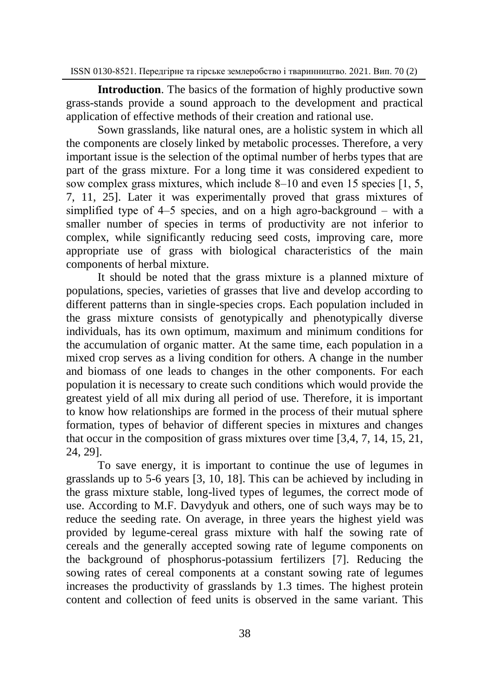**Introduction**. The basics of the formation of highly productive sown grass-stands provide a sound approach to the development and practical application of effective methods of their creation and rational use.

Sown grasslands, like natural ones, are a holistic system in which all the components are closely linked by metabolic processes. Therefore, a very important issue is the selection of the optimal number of herbs types that are part of the grass mixture. For a long time it was considered expedient to sow complex grass mixtures, which include  $8-10$  and even 15 species [1, 5, 7, 11, 25]. Later it was experimentally proved that grass mixtures of simplified type of  $4-5$  species, and on a high agro-background – with a smaller number of species in terms of productivity are not inferior to complex, while significantly reducing seed costs, improving care, more appropriate use of grass with biological characteristics of the main components of herbal mixture.

It should be noted that the grass mixture is a planned mixture of populations, species, varieties of grasses that live and develop according to different patterns than in single-species crops. Each population included in the grass mixture consists of genotypically and phenotypically diverse individuals, has its own optimum, maximum and minimum conditions for the accumulation of organic matter. At the same time, each population in a mixed crop serves as a living condition for others. A change in the number and biomass of one leads to changes in the other components. For each population it is necessary to create such conditions which would provide the greatest yield of all mix during all period of use. Therefore, it is important to know how relationships are formed in the process of their mutual sphere formation, types of behavior of different species in mixtures and changes that occur in the composition of grass mixtures over time [3,4, 7, 14, 15, 21, 24, 29].

To save energy, it is important to continue the use of legumes in grasslands up to 5-6 years [3, 10, 18]. This can be achieved by including in the grass mixture stable, long-lived types of legumes, the correct mode of use. According to M.F. Davydyuk and others, one of such ways may be to reduce the seeding rate. On average, in three years the highest yield was provided by legume-cereal grass mixture with half the sowing rate of cereals and the generally accepted sowing rate of legume components on the background of phosphorus-potassium fertilizers [7]. Reducing the sowing rates of cereal components at a constant sowing rate of legumes increases the productivity of grasslands by 1.3 times. The highest protein content and collection of feed units is observed in the same variant. This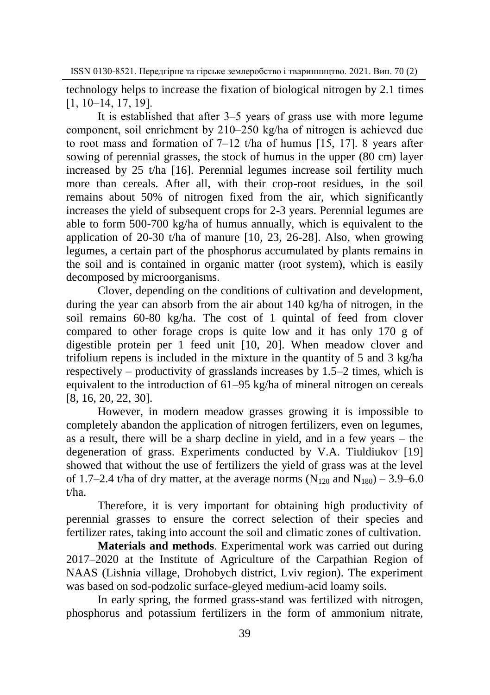technology helps to increase the fixation of biological nitrogen by 2.1 times  $[1, 10-14, 17, 19]$ .

It is established that after 3–5 years of grass use with more legume component, soil enrichment by 210–250 kg/ha of nitrogen is achieved due to root mass and formation of  $7-12$  t/ha of humus [15, 17]. 8 years after sowing of perennial grasses, the stock of humus in the upper (80 cm) layer increased by 25 t/ha [16]. Perennial legumes increase soil fertility much more than cereals. After all, with their crop-root residues, in the soil remains about 50% of nitrogen fixed from the air, which significantly increases the yield of subsequent crops for 2-3 years. Perennial legumes are able to form 500-700 kg/ha of humus annually, which is equivalent to the application of 20-30 t/ha of manure [10, 23, 26-28]. Also, when growing legumes, a certain part of the phosphorus accumulated by plants remains in the soil and is contained in organic matter (root system), which is easily decomposed by microorganisms.

Clover, depending on the conditions of cultivation and development, during the year can absorb from the air about 140 kg/ha of nitrogen, in the soil remains 60-80 kg/ha. The cost of 1 quintal of feed from clover compared to other forage crops is quite low and it has only 170 g of digestible protein per 1 feed unit [10, 20]. When meadow clover and trifolium repens is included in the mixture in the quantity of 5 and 3 kg/ha respectively – productivity of grasslands increases by  $1.5-2$  times, which is equivalent to the introduction of 61–95 kg/ha of mineral nitrogen on cereals [8, 16, 20, 22, 30].

However, in modern meadow grasses growing it is impossible to completely abandon the application of nitrogen fertilizers, even on legumes, as a result, there will be a sharp decline in yield, and in a few years – the degeneration of grass. Experiments conducted by V.A. Tiuldiukov [19] showed that without the use of fertilizers the yield of grass was at the level of 1.7–2.4 t/ha of dry matter, at the average norms ( $N_{120}$  and  $N_{180}$ ) – 3.9–6.0 t/ha.

Therefore, it is very important for obtaining high productivity of perennial grasses to ensure the correct selection of their species and fertilizer rates, taking into account the soil and climatic zones of cultivation.

**Materials and methods**. Experimental work was carried out during 2017–2020 at the Institute of Agriculture of the Carpathian Region of NAAS (Lishnia village, Drohobych district, Lviv region). The experiment was based on sod-podzolic surface-gleyed medium-acid loamy soils.

In early spring, the formed grass-stand was fertilized with nitrogen, phosphorus and potassium fertilizers in the form of ammonium nitrate,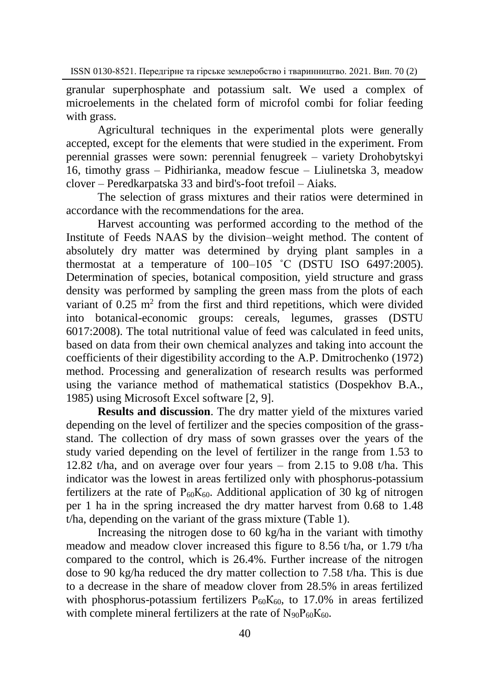granular superphosphate and potassium salt. We used a complex of microelements in the chelated form of microfol combi for foliar feeding with grass.

Agricultural techniques in the experimental plots were generally accepted, except for the elements that were studied in the experiment. From perennial grasses were sown: perennial fenugreek – variety Drohobytskyi 16, timothy grass – Pidhirianka, meadow fescue – Liulinetska 3, meadow clover – Peredkarpatska 33 and bird's-foot trefoil – Aiaks.

The selection of grass mixtures and their ratios were determined in accordance with the recommendations for the area.

Harvest accounting was performed according to the method of the Institute of Feeds NAAS by the division–weight method. The content of absolutely dry matter was determined by drying plant samples in a thermostat at a temperature of 100–105 ˚С (DSTU ISO 6497:2005). Determination of species, botanical composition, yield structure and grass density was performed by sampling the green mass from the plots of each variant of  $0.25$  m<sup>2</sup> from the first and third repetitions, which were divided into botanical-economic groups: cereals, legumes, grasses (DSTU 6017:2008). The total nutritional value of feed was calculated in feed units, based on data from their own chemical analyzes and taking into account the coefficients of their digestibility according to the A.P. Dmitrochenko (1972) method. Processing and generalization of research results was performed using the variance method of mathematical statistics (Dospekhov B.A., 1985) using Microsoft Excel software [2, 9].

**Results and discussion**. The dry matter yield of the mixtures varied depending on the level of fertilizer and the species composition of the grassstand. The collection of dry mass of sown grasses over the years of the study varied depending on the level of fertilizer in the range from 1.53 to 12.82 t/ha, and on average over four years – from 2.15 to 9.08 t/ha. This indicator was the lowest in areas fertilized only with phosphorus-potassium fertilizers at the rate of  $P_{60}K_{60}$ . Additional application of 30 kg of nitrogen per 1 ha in the spring increased the dry matter harvest from 0.68 to 1.48 t/ha, depending on the variant of the grass mixture (Table 1).

Increasing the nitrogen dose to 60 kg/ha in the variant with timothy meadow and meadow clover increased this figure to 8.56 t/ha, or 1.79 t/ha compared to the control, which is 26.4%. Further increase of the nitrogen dose to 90 kg/ha reduced the dry matter collection to 7.58 t/ha. This is due to a decrease in the share of meadow clover from 28.5% in areas fertilized with phosphorus-potassium fertilizers  $P_{60}K_{60}$ , to 17.0% in areas fertilized with complete mineral fertilizers at the rate of  $N_{90}P_{60}K_{60}$ .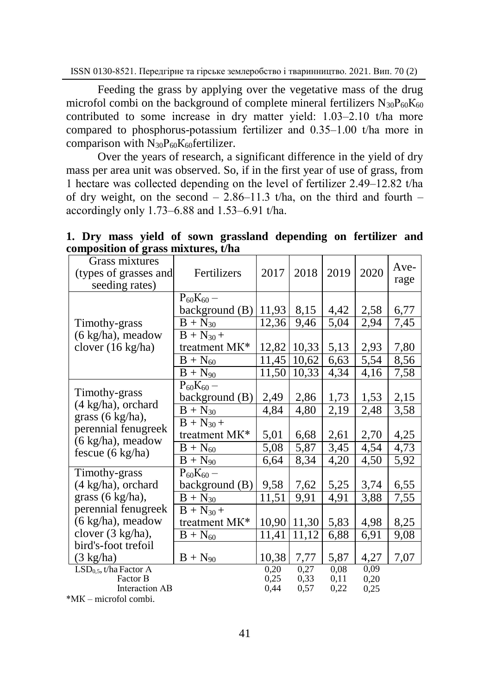Feeding the grass by applying over the vegetative mass of the drug microfol combi on the background of complete mineral fertilizers  $N_{30}P_{60}K_{60}$ contributed to some increase in dry matter yield:  $1.03-2.10$  t/ha more compared to phosphorus-potassium fertilizer and  $0.35-1.00$  t/ha more in comparison with  $N_{30}P_{60}K_{60}$  fertilizer.

Over the years of research, a significant difference in the yield of dry mass per area unit was observed. So, if in the first year of use of grass, from 1 hectare was collected depending on the level of fertilizer 2.49‒12.82 t/ha of dry weight, on the second  $-2.86-11.3$  t/ha, on the third and fourth  $$ accordingly only 1.73‒6.88 and 1.53‒6.91 t/ha.

| Grass mixtures<br>(types of grasses and<br>seeding rates)                              | Fertilizers                                               | 2017                        | 2018                 | 2019                 | 2020                 | Ave-<br>rage              |
|----------------------------------------------------------------------------------------|-----------------------------------------------------------|-----------------------------|----------------------|----------------------|----------------------|---------------------------|
| Timothy-grass                                                                          | $P_{60}K_{60} -$<br>background (B)<br>$B + N_{30}$        | 11,93<br>12,36              | 8,15<br>9,46         | 4,42<br>5,04         | 2,58<br>2,94         | 6,77<br>7,45              |
| $(6 \text{ kg/ha})$ , meadow<br>clover (16 kg/ha)                                      | $B + N_{30} +$<br>treatment MK*                           | 12,82                       | 10,33                | 5,13                 | 2,93                 | 7,80                      |
|                                                                                        | $B + N_{60}$<br>$\overline{B + N_{90}}$                   | 11,45<br>11.50              | 10,62<br>10,33       | 6,63<br>4,34         | 5,54<br>4,16         | 8,56<br>7,58              |
| Timothy-grass<br>(4 kg/ha), orchard                                                    | $P_{60}K_{60} -$<br>background (B)                        | 2,49                        | 2,86                 | 1,73                 | 1,53                 | 2,15                      |
| grass (6 kg/ha),<br>perennial fenugreek<br>(6 kg/ha), meadow                           | $B + N_{30}$<br>$B + N_{30} +$<br>treatment MK*           | 4,84<br>5,01                | 4,80<br>6,68         | 2,19<br>2,61         | 2,48<br>2,70         | 3,58<br>4,25              |
| fescue $(6 \text{ kg/ha})$                                                             | $\overline{B}$ + N <sub>60</sub><br>$\overline{B+N_{90}}$ | 5,08<br>6,64                | 5,87<br>8,34         | 3,45<br>4,20         | 4,54<br>4,50         | 4,73<br>5,92              |
| Timothy-grass<br>(4 kg/ha), orchard<br>grass (6 kg/ha),                                | $P_{60}K_{60} -$<br>background (B)<br>$B + N_{30}$        | 9,58<br>$\overline{11,51}$  | 7,62<br>9,91         | 5,25<br>4,91         | 3,74<br>3,88         | 6,55<br>$\overline{7,55}$ |
| perennial fenugreek<br>$(6 \text{ kg/ha})$ , meadow                                    | $B + N_{30} +$<br>treatment MK*                           | 10,90                       | 11,30                | 5,83                 | 4,98                 | 8,25                      |
| clover (3 kg/ha),<br>bird's-foot trefoil<br>$(3 \text{ kg/ha})$                        | $\overline{B+N}_{60}$<br>$B + N_{90}$                     | $\overline{1}1,41$<br>10,38 | 11,12<br>7,77        | 6,88<br>5,87         | 6,91<br>4,27         | 9,08<br>7,07              |
| $LSD0.5$ , t/ha Factor A<br>Factor B<br><b>Interaction AB</b><br>*MK – microfol combi. |                                                           | 0.20<br>0,25<br>0.44        | 0,27<br>0,33<br>0.57 | 0.08<br>0,11<br>0,22 | 0.09<br>0,20<br>0.25 |                           |

**1. Dry mass yield of sown grassland depending on fertilizer and composition of grass mixtures, t/ha**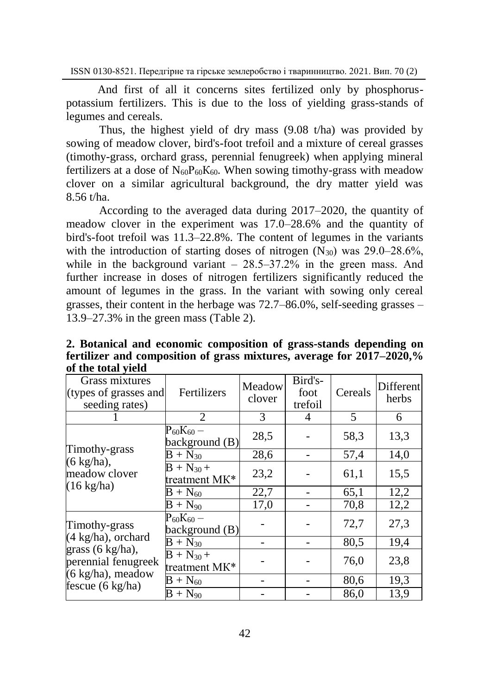And first of all it concerns sites fertilized only by phosphoruspotassium fertilizers. This is due to the loss of yielding grass-stands of legumes and cereals.

Thus, the highest yield of dry mass (9.08 t/ha) was provided by sowing of meadow clover, bird's-foot trefoil and a mixture of cereal grasses (timothy-grass, orchard grass, perennial fenugreek) when applying mineral fertilizers at a dose of  $N_{60}P_{60}K_{60}$ . When sowing timothy-grass with meadow clover on a similar agricultural background, the dry matter yield was 8.56 t/ha.

According to the averaged data during 2017–2020, the quantity of meadow clover in the experiment was 17.0–28.6% and the quantity of bird's-foot trefoil was 11.3–22.8%. The content of legumes in the variants with the introduction of starting doses of nitrogen  $(N_{30})$  was 29.0–28.6%, while in the background variant  $-28.5-37.2\%$  in the green mass. And further increase in doses of nitrogen fertilizers significantly reduced the amount of legumes in the grass. In the variant with sowing only cereal grasses, their content in the herbage was 72.7–86.0%, self-seeding grasses – 13.9–27.3% in the green mass (Table 2).

| $\frac{1}{2}$ and $\frac{1}{2}$<br>Grass mixtures<br>(types of grasses and<br>seeding rates) | Fertilizers                            | Meadow<br>clover  | Bird's-<br>foot<br>trefoil | Cereals | <b>Different</b><br>herbs |
|----------------------------------------------------------------------------------------------|----------------------------------------|-------------------|----------------------------|---------|---------------------------|
|                                                                                              | 2                                      | 3                 | 4                          | 5       | 6                         |
|                                                                                              | $\rm P_{60}K_{60}$ –<br>background (B) | 28,5              |                            | 58,3    | 13,3                      |
| Timothy-grass                                                                                | $B + N_{30}$                           | 28,6              |                            | 57,4    | 14,0                      |
| $(6 \text{ kg/ha}),$<br>meadow clover<br>$(16 \text{ kg/ha})$                                | $B + N_{30} +$<br>treatment MK*        | 23,2              |                            | 61,1    | 15,5                      |
|                                                                                              | $\overline{B}$ + N <sub>60</sub>       | 22,7              |                            | 65,1    | 12,2                      |
|                                                                                              | $\overline{B}$ + N <sub>90</sub>       | $\overline{17,0}$ |                            | 70,8    | 12,2                      |
| Timothy-grass                                                                                | $P_{60}K_{60} -$<br>background (B)     |                   |                            | 72,7    | 27,3                      |
| (4 kg/ha), orchard                                                                           | $B + N_{30}$                           |                   |                            | 80,5    | 19,4                      |
| grass (6 kg/ha),<br>perennial fenugreek<br>(6 kg/ha), meadow                                 | $B + N_{30} +$<br>treatment MK*        |                   |                            | 76,0    | 23,8                      |
| fescue $(6 \text{ kg/ha})$                                                                   | $B + N_{60}$                           |                   |                            | 80,6    | 19,3                      |
|                                                                                              | $B + N_{90}$                           |                   |                            | 86,0    | 13,9                      |

**2. Botanical and economic composition of grass-stands depending on fertilizer and composition of grass mixtures, average for 2017–2020,% of the total yield**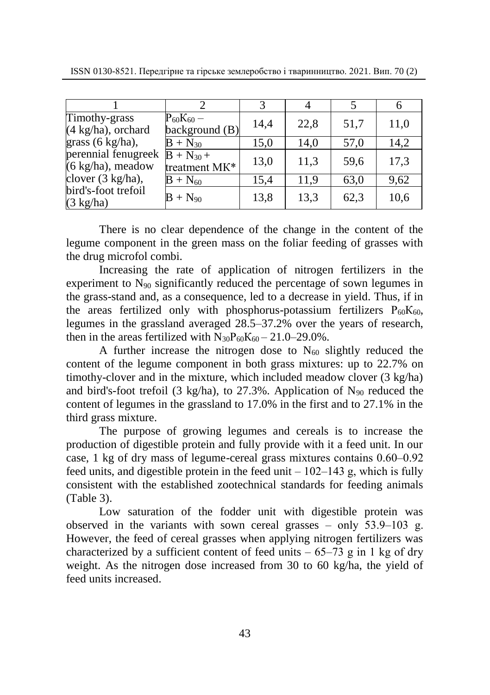| ISSN 0130-8521. Передгірне та гірське землеробство і тваринництво. 2021. Вип. 70 (2) |  |  |  |
|--------------------------------------------------------------------------------------|--|--|--|
|                                                                                      |  |  |  |

| Timothy-grass<br>$(4 \text{ kg/ha})$ , orchard | $\mathrm{P_{60}K_{60}}-$<br>background (B) | 14,4 | 22,8 | 51,7 | 11,0 |
|------------------------------------------------|--------------------------------------------|------|------|------|------|
| grass $(6 \text{ kg/ha})$ ,                    | $B + N_{30}$                               | 15,0 | 14.0 | 57,0 | 14,2 |
| perennial fenugreek<br>(6 kg/ha), meadow       | $B + N_{30} +$<br>treatment MK*            | 13,0 | 11,3 | 59,6 | 17,3 |
| clover (3 kg/ha),                              | $B + N_{60}$                               | 15,4 | 11.9 | 63,0 | 9,62 |
| bird's-foot trefoil<br>$(3 \text{ kg/ha})$     | $B + N_{90}$                               | 13,8 | 13,3 | 62,3 | 10,6 |

There is no clear dependence of the change in the content of the legume component in the green mass on the foliar feeding of grasses with the drug microfol combi.

Increasing the rate of application of nitrogen fertilizers in the experiment to  $N_{90}$  significantly reduced the percentage of sown legumes in the grass-stand and, as a consequence, led to a decrease in yield. Thus, if in the areas fertilized only with phosphorus-potassium fertilizers  $P_{60}K_{60}$ , legumes in the grassland averaged 28.5–37.2% over the years of research, then in the areas fertilized with  $N_{30}P_{60}K_{60} - 21.0 - 29.0\%$ .

A further increase the nitrogen dose to  $N_{60}$  slightly reduced the content of the legume component in both grass mixtures: up to 22.7% on timothy-clover and in the mixture, which included meadow clover (3 kg/ha) and bird's-foot trefoil (3 kg/ha), to 27.3%. Application of  $N_{90}$  reduced the content of legumes in the grassland to 17.0% in the first and to 27.1% in the third grass mixture.

The purpose of growing legumes and cereals is to increase the production of digestible protein and fully provide with it a feed unit. In our case, 1 kg of dry mass of legume-cereal grass mixtures contains  $0.60-0.92$ feed units, and digestible protein in the feed unit  $-102-143$  g, which is fully consistent with the established zootechnical standards for feeding animals (Table 3).

Low saturation of the fodder unit with digestible protein was observed in the variants with sown cereal grasses – only  $53.9-103$  g. However, the feed of cereal grasses when applying nitrogen fertilizers was characterized by a sufficient content of feed units  $-65-73$  g in 1 kg of dry weight. As the nitrogen dose increased from 30 to 60 kg/ha, the yield of feed units increased.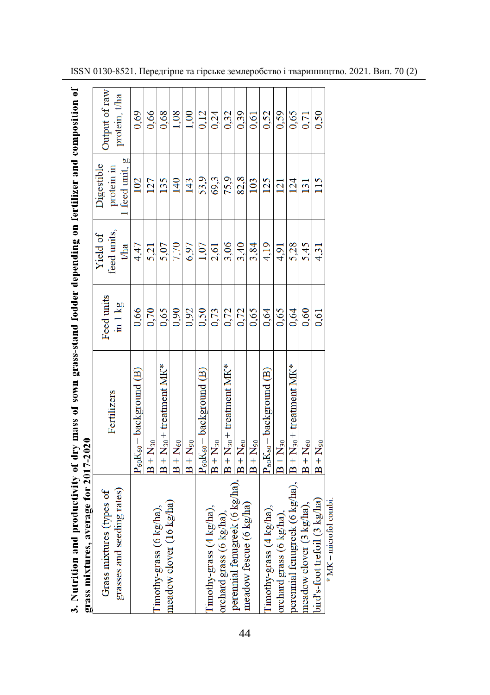| j<br>in such com<br>i sown or<br>١<br>$\frac{1}{2}$<br><b>Creative Contracts</b><br>,,,,,,,<br>5<br>5<br>-<br>orass mixtures, average for<br>i<br>S<br>$1 - 4 - 3 + 4 = 0$<br>$\begin{bmatrix} 1 & 0 & 0 & 0 \\ 0 & 0 & 0 & 0 \\ 0 & 0 & 0 & 0 \\ 0 & 0 & 0 & 0 \\ 0 & 0 & 0 & 0 \\ 0 & 0 & 0 & 0 \\ 0 & 0 & 0 & 0 \\ 0 & 0 & 0 & 0 & 0 \\ 0 & 0 & 0 & 0 & 0 \\ 0 & 0 & 0 & 0 & 0 \\ 0 & 0 & 0 & 0 & 0 & 0 \\ 0 & 0 & 0 & 0 & 0 & 0 \\ 0 & 0 & 0 & 0 & 0 & 0 \\ 0 & 0 & 0 & 0 & 0 & 0 \\ 0 & 0 & 0 & 0 & $ |    |  |
|------------------------------------------------------------------------------------------------------------------------------------------------------------------------------------------------------------------------------------------------------------------------------------------------------------------------------------------------------------------------------------------------------------------------------------------------------------------------------------------------------------|----|--|
|                                                                                                                                                                                                                                                                                                                                                                                                                                                                                                            |    |  |
|                                                                                                                                                                                                                                                                                                                                                                                                                                                                                                            |    |  |
|                                                                                                                                                                                                                                                                                                                                                                                                                                                                                                            |    |  |
|                                                                                                                                                                                                                                                                                                                                                                                                                                                                                                            |    |  |
|                                                                                                                                                                                                                                                                                                                                                                                                                                                                                                            |    |  |
|                                                                                                                                                                                                                                                                                                                                                                                                                                                                                                            |    |  |
|                                                                                                                                                                                                                                                                                                                                                                                                                                                                                                            |    |  |
|                                                                                                                                                                                                                                                                                                                                                                                                                                                                                                            |    |  |
|                                                                                                                                                                                                                                                                                                                                                                                                                                                                                                            |    |  |
|                                                                                                                                                                                                                                                                                                                                                                                                                                                                                                            |    |  |
| í                                                                                                                                                                                                                                                                                                                                                                                                                                                                                                          | l, |  |

| grass mixtures, average for 2017-2020                  |                                   |                       |                                |                                            |                               |
|--------------------------------------------------------|-----------------------------------|-----------------------|--------------------------------|--------------------------------------------|-------------------------------|
| grasses and seeding rates)<br>Grass mixtures (types of | Fertilizers                       | Feed units<br>in 1 kg | feed units.<br>Yield of<br>tha | 1 feed unit, g<br>Digestible<br>protein in | Output of raw<br>protein, tha |
|                                                        | $P_{60}K_{60}$ – background $(B)$ | 0,66                  | 4,47                           | 102                                        | 0.69                          |
|                                                        | $B + N_{30}$                      | 0,70                  | 5,21                           | 127                                        | 0,66                          |
| Timothy-grass (6 kg/ha),                               | $B + N_{30} +$ treatment MK*      | 0.65                  | 5,07                           | 135                                        | 0,68                          |
| meadow clover (16 kg/ha)                               | $B + N_{60}$                      | 0.90                  | 7,70                           | 140                                        | 1,08                          |
|                                                        | $B + N_{90}$                      | 0,92                  | 6,97                           | 143                                        | 1,00                          |
|                                                        | $P_{60}K_{60}$ – background $(B)$ | 0,50                  | 1,07                           | 53,9                                       | 0,12                          |
| Timothy-grass (4 kg/ha),                               | $B + N_{30}$                      | 0,73                  | 2,61                           | 69,3                                       | 0,24                          |
| orchard grass (6 kg/ha),                               | $B + N_{30} +$ treatment $M K^*$  | 0,72                  | 3,06                           | 75,9                                       | 0,32                          |
| perennial femigreek (6 kg/ha),                         | $B + N_{60}$                      | 0,72                  | 3,40                           | 82,8                                       | 0,39                          |
| meadow fescue (6 kg/ha)                                | $B + N_{90}$                      | 0,65                  | 3,84                           | 103                                        | 0.61                          |
| Timothy-grass (4 kg/ha),                               | $P_{60}K_{60}$ – background $(B)$ | 0,64                  | 4,19                           | 125                                        | 0,52                          |
| orchard grass (6 kg/ha),                               | $B + N_{30}$                      | 0.65                  | 4,91                           | 121                                        | 0.59                          |
| perennial fenugreek (6 kg/ha),                         | $B + N_{30}$ + treatment MK*      | 0.64                  | 5,28                           | 124                                        | 0.65                          |
| meadow clover (3 kg/ha),                               | $B + N_{60}$                      | 0.60                  | 5,45                           | 131                                        | 0,71                          |
| bird's-foot trefoil (3 kg/ha)                          | $B + N_{90}$                      | 0.61                  | 4,31                           | 115                                        | 0,50                          |
| * MK – microfol combi.                                 |                                   |                       |                                |                                            |                               |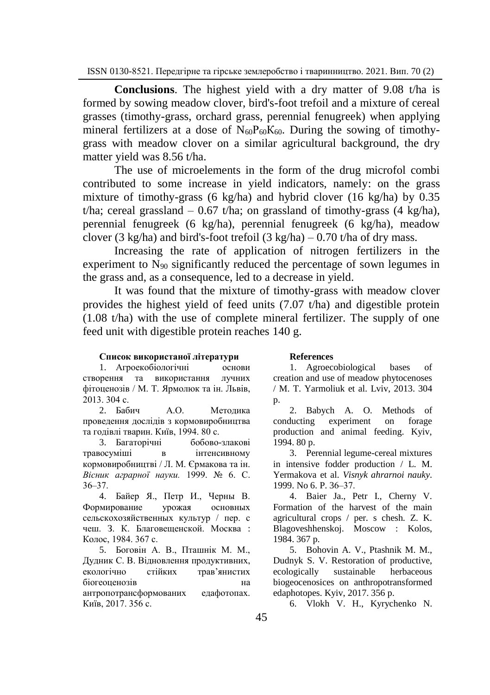**Conclusions**. The highest yield with a dry matter of 9.08 t/ha is formed by sowing meadow clover, bird's-foot trefoil and a mixture of cereal grasses (timothy-grass, orchard grass, perennial fenugreek) when applying mineral fertilizers at a dose of  $N_{60}P_{60}K_{60}$ . During the sowing of timothygrass with meadow clover on a similar agricultural background, the dry matter yield was 8.56 t/ha.

The use of microelements in the form of the drug microfol combi contributed to some increase in yield indicators, namely: on the grass mixture of timothy-grass (6 kg/ha) and hybrid clover (16 kg/ha) by 0.35 t/ha; cereal grassland  $-0.67$  t/ha; on grassland of timothy-grass (4 kg/ha), perennial fenugreek (6 kg/ha), perennial fenugreek (6 kg/ha), meadow clover (3 kg/ha) and bird's-foot trefoil (3 kg/ha) – 0.70 t/ha of dry mass.

Increasing the rate of application of nitrogen fertilizers in the experiment to  $N_{90}$  significantly reduced the percentage of sown legumes in the grass and, as a consequence, led to a decrease in yield.

It was found that the mixture of timothy-grass with meadow clover provides the highest yield of feed units (7.07 t/ha) and digestible protein (1.08 t/ha) with the use of complete mineral fertilizer. The supply of one feed unit with digestible protein reaches 140 g.

### **Список використаної літератури**

1. Агроекобіологічні основи створення та використання лучних фітоценозів / М. Т. Ярмолюк та ін. Львів, 2013. 304 с.

2. Бабич А.О. Методика проведення дослідів з кормовиробництва та годівлі тварин. Київ, 1994. 80 с.

3. Багаторічні бобово-злакові травосуміші в інтенсивному кормовиробництві / Л. М. Єрмакова та ін. *Вісник аграрної науки.* 1999. № 6. С. 36‒37.

4. Байер Я., Петр И., Черны В. Формирование урожая основных сельскохозяйственных культур / пер. с чеш. З. К. Благовещенской. Москва : Колос, 1984. 367 с.

5. Боговін А. В., Пташнік М. М., Дудник С. В. Відновлення продуктивних, екологічно стійких трав'янистих біогеоценозів на антропотрансформованих едафотопах. Київ, 2017. 356 с.

### **References**

1. Agroecobiological bases of creation and use of meadow phytocenoses / M. T. Yarmoliuk et al. Lviv, 2013. 304 p.

2. Babych A. O. Methods of conducting experiment on forage production and animal feeding. Kyiv, 1994. 80 p.

3. Perennial legume-cereal mixtures in intensive fodder production / L. M. Yermakova et al. *Visnyk ahrarnoi nauky.* 1999. No 6. P. 36‒37.

4. Baier Ja., Petr I., Cherny V. Formation of the harvest of the main agricultural crops / per. s chesh. Z. K. Blagoveshhenskoj. Moscow : Kolos, 1984. 367 p.

5. Bohovin A. V., Ptashnik M. M., Dudnyk S. V. Restoration of productive, ecologically sustainable herbaceous biogeocenosices on anthropotransformed edaphotopes. Kyiv, 2017. 356 p.

6. Vlokh V. H., Kyrychenko N.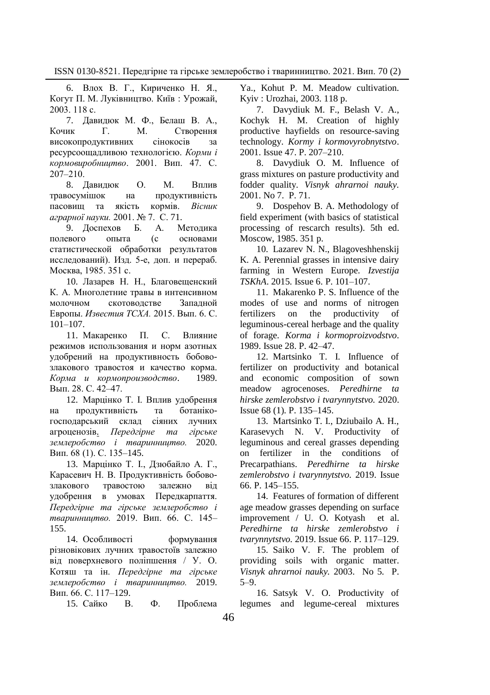6. Влох В. Г., Кириченко Н. Я., Когут П. М. Луківництво. Київ : Урожай, 2003. 118 с.

7. Давидюк М. Ф., Белаш В. А., Кочик Г. М. Cтворення високопродуктивних сінокосів за ресурсоощадливою технологією. *Корми і кормовиробництво*. 2001. Вип. 47. С.  $207 - 210$ .

8. Давидюк О. М. Вплив травосумішок на продуктивність пасовищ та якість кормів. *Вісник аграрної науки.* 2001. № 7. С. 71.

9. Доспехов Б. А. Методика полевого опыта (с основами статистической обработки результатов исследований). Изд. 5-е, доп. и перераб. Москва, 1985. 351 с.

10. Лазарев Н. Н., Благовещенский К. А. Многолетние травы в интенсивном молочном скотоводстве Западной Европы. *Известия ТСХА.* 2015. Вып. 6. С. 101–107.

11. Макаренко П. С. Влияние режимов использования и норм азотных удобрений на продуктивность бобовозлакового травостоя и качество корма. *Корма и кормопроизводство*. 1989. Вып. 28. С. 42–47.

12. Марцінко Т. І. Вплив удобрення на продуктивність та ботанікогосподарський склад сіяних лучних агроценозів. *Передгірне та гірське землеробство і тваринництво.* 2020. Вип. 68 (1). С. 135–145.

13. Марцінко Т. І., Дзюбайло А. Г., Карасевич Н. В. Продуктивність бобовозлакового травостою залежно від удобрення в умовах Передкарпаття. *Передгірне та гірське землеробство і тваринництво.* 2019. Вип. 66. С. 145– 155.

14. Особливості формування різновікових лучних травостоїв залежно від поверхневого поліпшення / У. О. Котяш та ін. *Передгірне та гірське землеробство і тваринництво.* 2019. Вип. 66. С. 117–129.

15. Сайко В. Ф. Проблема

Ya., Kohut P. M. Meadow cultivation. Kyiv : Urozhai, 2003. 118 p.

7. Davydiuk M. F., Belash V. A., Kochyk H. M. Creation of highly productive hayfields on resource-saving technology. *Kormy i kormovyrobnytstvo*. 2001. Issue 47. P. 207‒210.

8. Davydiuk O. M. Influence of grass mixtures on pasture productivity and fodder quality. *Visnyk ahrarnoi nauky.* 2001. No 7. P. 71.

9. Dospehov B. A. Methodology of field experiment (with basics of statistical processing of rescarch results). 5th ed. Moscow, 1985. 351 p.

10. Lazarev N. N., Blagoveshhenskij K. A. Perennial grasses in intensive dairy farming in Western Europe. *Izvestija TSKhA*. 2015. Issue 6. P. 101–107.

11. Makarenko P. S. Influence of the modes of use and norms of nitrogen fertilizers on the productivity of leguminous-cereal herbage and the quality of forage. *Korma i kormoproizvodstvo*. 1989. Issue 28. P. 42–47.

12. Martsinko T. I. Influence of fertilizer on productivity and botanical and economic composition of sown meadow agrocenoses. *Peredhirne ta hirske zemlerobstvo i tvarynnytstvo.* 2020. Issue 68 (1). P. 135–145.

13. Martsinko T. I., Dziubailo A. H., Karasevych N. V. Productivity of leguminous and cereal grasses depending on fertilizer in the conditions of Precarpathians. *Peredhirne ta hirske zemlerobstvo i tvarynnytstvo.* 2019. Issue 66. P. 145–155.

14. Features of formation of different age meadow grasses depending on surface improvement / U. O. Kotyash et al. *Peredhirne ta hirske zemlerobstvo i tvarynnytstvo.* 2019. Issue 66. P. 117–129.

15. Saiko V. F. The problem of providing soils with organic matter. *Visnyk ahrarnoi nauky.* 2003. No 5. P.  $5 - 9$ .

16. Satsyk V. O. Productivity of legumes and legume-cereal mixtures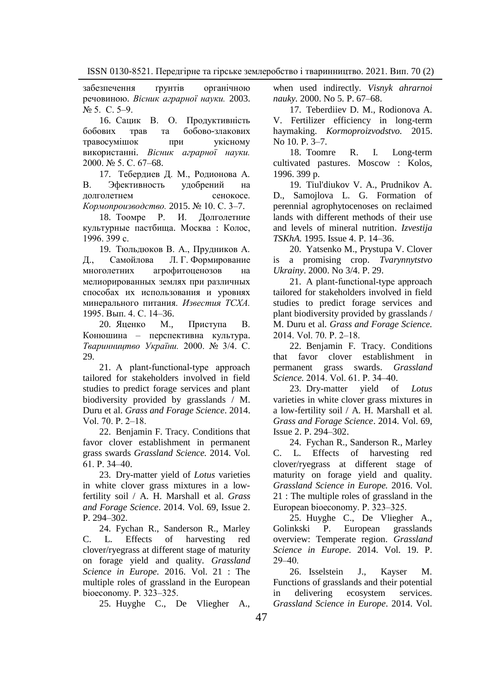забезпечення ґрунтів органічною речовиною. *Вісник аграрної науки.* 2003. № 5. С. 5‒9.

16. Сацик В. О. Продуктивність бобових трав та бобово-злакових травосумішок при укісному використанні. *Вісник аграрної науки.* 2000. № 5. С. 67–68.

17. Тебердиев Д. М., Родионова А. В. Эфективность удобрений на долголетнем сенокосе. *Кормопроизводство.* 2015. № 10. С. 3–7.

18. Тоомре Р. И. Долголетние культурные пастбища. Москва : Колос, 1996. 399 с.

19. Тюльдюков В. А., Прудников А. Д., Самойлова Л. Г. Формирование многолетних агрофитоценозов на мелиорированных землях при различных способах их использования и уровнях минерального питания. *Известия ТСХА.* 1995. Вып. 4. С. 14–36.

20. Яценко М., Приступа В. Конюшина – перспективна культура. *Тваринництво України.* 2000. № 3/4. С. 29.

21. A plant‐functional‐type approach tailored for stakeholders involved in field studies to predict forage services and plant biodiversity provided by grasslands / [M.](https://onlinelibrary.wiley.com/action/doSearch?ContribAuthorStored=Duru%2C+M)  [Duru](https://onlinelibrary.wiley.com/action/doSearch?ContribAuthorStored=Duru%2C+M) et al. *Grass and Forage Science*. 2014. Vol. 70. P. 2‒18.

22. [Benjamin F. Tracy.](https://onlinelibrary.wiley.com/action/doSearch?ContribAuthorStored=Tracy%2C+Benjamin+F) Conditions that favor clover establishment in permanent grass swards *Grassland Science.* 2014. Vol. 61. Р. 34‒40.

23. Dry-matter yield of *Lotus* varieties in white clover grass mixtures in a lowfertility soil / [A. H. Marshall](https://onlinelibrary.wiley.com/action/doSearch?ContribAuthorStored=Marshall%2C+A+H) et al. *Grass and Forage Science*. 2014. Vol. 69, Issue 2. P. 294-302.

24. Fychan R., Sanderson R., Marley C. L. Effects of harvesting red clover/ryegrass at different stage of maturity on forage yield and quality. *Grassland Science in Europe.* 2016. Vol. 21 : The multiple roles of grassland in the European bioeconomy. P. 323-325.

25. Huyghe C., De Vliegher A.,

when used indirectly. *Visnyk ahrarnoi nauky.* 2000. No 5. P. 67–68.

17. Teberdiiev D. M., Rodionova A. V. Fertilizer efficiency in long-term haymaking. *Kormoproizvodstvo.* 2015. No 10. P. 3–7.

18. Toomre R. I. Long-term cultivated pastures. Moscow : Kolos, 1996. 399 p.

19. Tiul'diukov V. A., Prudnikov A. D., Samojlova L. G. Formation of perennial agrophytocenoses on reclaimed lands with different methods of their use and levels of mineral nutrition. *Izvestija TSKhA.* 1995. Issue 4. P. 14–36.

20. Yatsenko M., Prystupa V. Clover is a promising crop. *Tvarynnytstvo Ukrainy*. 2000. No 3/4. P. 29.

21. A plant‐functional‐type approach tailored for stakeholders involved in field studies to predict forage services and plant biodiversity provided by grasslands / [M. Duru](https://onlinelibrary.wiley.com/action/doSearch?ContribAuthorStored=Duru%2C+M) et al. *Grass and Forage Science.* 2014. Vol. 70. P. 2‒18.

22. [Benjamin F. Tracy.](https://onlinelibrary.wiley.com/action/doSearch?ContribAuthorStored=Tracy%2C+Benjamin+F) Conditions that favor clover establishment in permanent grass swards. *Grassland Science.* 2014. Vol. 61. Р. 34‒40.

23. Dry-matter yield of *Lotus* varieties in white clover grass mixtures in a low-fertility soil / [A. H. Marshall](https://onlinelibrary.wiley.com/action/doSearch?ContribAuthorStored=Marshall%2C+A+H) et al. *Grass and Forage Science*. 2014. Vol. 69, Issue 2. P. 294‒302.

24. Fychan R., Sanderson R., Marley C. L. Effects of harvesting red clover/ryegrass at different stage of maturity on forage yield and quality. *Grassland Science in Europe.* 2016. Vol. 21 : The multiple roles of grassland in the European bioeconomy. P. 323–325.

25. Huyghe C., De Vliegher A., Golinkski P. European grasslands overview: Temperate region. *Grassland Science in Europe*. 2014. Vol. 19. P.  $29 - 40.$ 

26. Isselstein J., Kayser M. Functions of grasslands and their potential in delivering ecosystem services. *Grassland Science in Europe*. 2014. Vol.